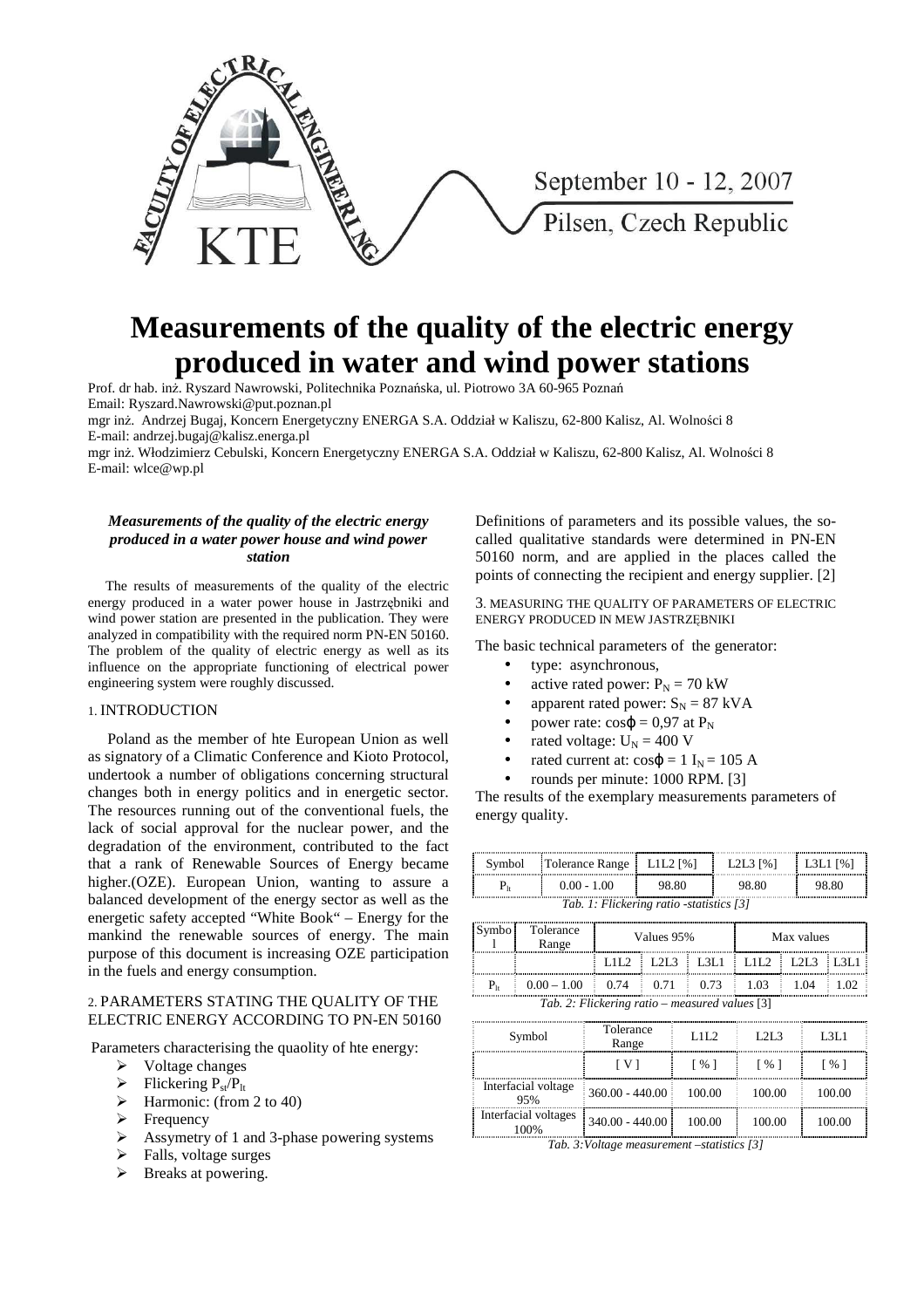

# **Measurements of the quality of the electric energy produced in water and wind power stations**

Prof. dr hab. inż. Ryszard Nawrowski, Politechnika Poznańska, ul. Piotrowo 3A 60-965 Poznań Email: Ryszard.Nawrowski@put.poznan.pl

mgr inż. Andrzej Bugaj, Koncern Energetyczny ENERGA S.A. Oddział w Kaliszu, 62-800 Kalisz, Al. Wolności 8 E-mail: andrzej.bugaj@kalisz.energa.pl

mgr inż. Włodzimierz Cebulski, Koncern Energetyczny ENERGA S.A. Oddział w Kaliszu, 62-800 Kalisz, Al. Wolności 8 E-mail: wlce@wp.pl

## *Measurements of the quality of the electric energy produced in a water power house and wind power station*

 The results of measurements of the quality of the electric energy produced in a water power house in Jastrzębniki and wind power station are presented in the publication. They were analyzed in compatibility with the required norm PN-EN 50160. The problem of the quality of electric energy as well as its influence on the appropriate functioning of electrical power engineering system were roughly discussed.

# 1. INTRODUCTION

 Poland as the member of hte European Union as well as signatory of a Climatic Conference and Kioto Protocol, undertook a number of obligations concerning structural changes both in energy politics and in energetic sector. The resources running out of the conventional fuels, the lack of social approval for the nuclear power, and the degradation of the environment, contributed to the fact that a rank of Renewable Sources of Energy became higher.(OZE). European Union, wanting to assure a balanced development of the energy sector as well as the energetic safety accepted "White Book" – Energy for the mankind the renewable sources of energy. The main purpose of this document is increasing OZE participation in the fuels and energy consumption.

### 2. PARAMETERS STATING THE QUALITY OF THE ELECTRIC ENERGY ACCORDING TO PN-EN 50160

Parameters characterising the quaolity of hte energy:

- $\triangleright$  Voltage changes
- $\triangleright$  Flickering  $P_{st}/P_{lt}$
- $\triangleright$  Harmonic: (from 2 to 40)
- $\triangleright$  Frequency
- $\triangleright$  Assymetry of 1 and 3-phase powering systems
- $\triangleright$  Falls, voltage surges
- $\triangleright$  Breaks at powering.

Definitions of parameters and its possible values, the socalled qualitative standards were determined in PN-EN 50160 norm, and are applied in the places called the points of connecting the recipient and energy supplier. [2]

3. MEASURING THE QUALITY OF PARAMETERS OF ELECTRIC ENERGY PRODUCED IN MEW JASTRZĘBNIKI

The basic technical parameters of the generator:

- type: asynchronous,
- active rated power:  $P_N = 70$  kW
- apparent rated power:  $S_N = 87$  kVA
- power rate:  $cos φ = 0.97$  at P<sub>N</sub>
- rated voltage:  $U_N = 400$  V
- rated current at:  $cos\phi = 1$  I<sub>N</sub> = 105 A
- rounds per minute: 1000 RPM. [3]

The results of the exemplary measurements parameters of energy quality.

| Symbol                                   | Tolerance Range   L1L2 [%] |        | L <sub>2</sub> L <sub>3</sub> $[%]$ | $\%$<br>--------------------------------- |  |  |
|------------------------------------------|----------------------------|--------|-------------------------------------|-------------------------------------------|--|--|
|                                          | $0.00 - 1.00$              | 98. SO | 98. SO                              | 98. SO                                    |  |  |
| Tab. 1: Flickering ratio -statistics [3] |                            |        |                                     |                                           |  |  |

|                                                | Tolerance<br>Range                     | Values 95% |  |                                         | Max values |  |      |  |
|------------------------------------------------|----------------------------------------|------------|--|-----------------------------------------|------------|--|------|--|
|                                                |                                        |            |  | LIL2   L2L3   L3L1   L1L2   L2L3   L3L1 |            |  |      |  |
|                                                | $0.00 - 1.00$ 0.74 0.71 0.73 1.03 1.04 |            |  |                                         |            |  | 1.02 |  |
| Tab. 2: Flickering ratio – measured values [3] |                                        |            |  |                                         |            |  |      |  |

| Symbol                       | Tolerance<br>Range | 1.11.2             | 1.21.3 | L3L1            |  |
|------------------------------|--------------------|--------------------|--------|-----------------|--|
|                              | I V 1              | $\lceil 96 \rceil$ | [ % ]  | $\frac{9}{6}$ 1 |  |
| Interfacial voltage<br>95%   | $360.00 - 440.00$  | 100.00             | 100.00 | 100.00          |  |
| Interfacial voltages<br>100% | $340.00 - 440.00$  | 100.00             | 100.00 | 100.00          |  |

*Tab. 3:Voltage measurement –statistics [3]*